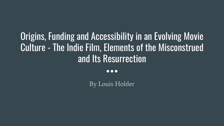#### Origins, Funding and Accessibility in an Evolving Movie Culture - The Indie Film, Elements of the Misconstrued and Its Resurrection

 $\bullet\bullet\bullet$ 

By Louis Holder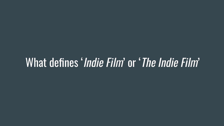# What defines 'Indie Film' or 'The Indie Film'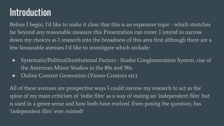#### **Introduction**

Before I begin, I'd like to make it clear that this is an expansive topic - which stretches far beyond any reasonable measure this Presentation can cover. I intend to narrow down my choices as I research into the broadness of this area first although there are a few favourable avenues I'd like to investigate which include:

- Systematic/Political/Institutional Factors Studio Conglomeration System, rise of the American Minor Studios in the 80s and 90s.
- Online Content Generation (Vimeo Creators etc)

All of these avenues are prospective ways I could narrow my research to act as the spine of my main criticism of 'indie film' as a way of stating an 'independent film' but is used in a genre sense and how both have evolved. Even posing the question; has 'independent film' ever existed?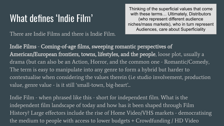#### What defines 'Indie Film'

There are Indie Films and there is Indie Film.

Thinking of the superficial values that come with these terms… Ultimately, Distributors (who represent different audience niches/mass markets), who in turn represent Audiences, care about Superficiality

Indie Films - Coming-of-age films, sweeping romantic perspectives of American/European frontiers, towns, lifestyles, and the people, loose plot, usually a drama (but can also be an Action, Horror, and the common one - Romantic/Comedy, The term is easy to manipulate into any genre to form a hybrid but harder to contextualise when considering the values therein (i.e studio involvement, production value, genre value - is it still 'small-town, big-heart'...

Indie Film - when phrased like this - short for independent film. What is the independent film landscape of today and how has it been shaped through Film History? Large effectors include the rise of Home Video/VHS markets - democratising the medium to people with access to lower budgets + Crowdfunding / HD Video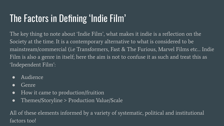### The Factors in Defining 'Indie Film'

The key thing to note about 'Indie Film', what makes it indie is a reflection on the Society at the time. It is a contemporary alternative to what is considered to be mainstream/commercial (i.e Transformers, Fast & The Furious, Marvel Films etc… Indie Film is also a genre in itself; here the aim is not to confuse it as such and treat this as 'Independent Film':

- Audience
- Genre
- How it came to production/fruition
- Themes/Storyline > Production Value/Scale

All of these elements informed by a variety of systematic, political and institutional factors too!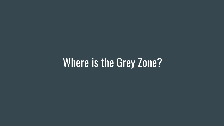# Where is the Grey Zone?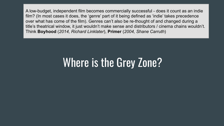# Where is the Grey Zone?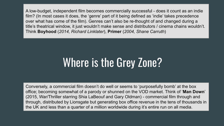# Where is the Grey Zone?

Conversely, a commercial film doesn't do well or seems to 'purposefully bomb' at the box office; becoming somewhat of a parody or shunned on the VOD market. Think of '**Man Down**' (2015, War/Thriller starring Shia LaBeouf and Gary Oldman) - commercial film through and through, distributed by Lionsgate but generating box office revenue in the tens of thousands in the UK and less than a quarter of a million worldwide during it's entire run on all media.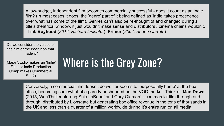Do we consider the values of the film or the institution that made it?

(Major Studio makes an 'Indie' Film, or Indie Production Comp makes Commercial Film?)

# Where is the Grey Zone?

Conversely, a commercial film doesn't do well or seems to 'purposefully bomb' at the box office; becoming somewhat of a parody or shunned on the VOD market. Think of '**Man Down**' (2015, War/Thriller starring Shia LaBeouf and Gary Oldman) - commercial film through and through, distributed by Lionsgate but generating box office revenue in the tens of thousands in the UK and less than a quarter of a million worldwide during it's entire run on all media.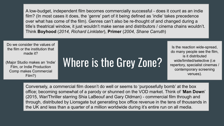Do we consider the values of the film or the institution that made it?

(Major Studio makes an 'Indie' Film, or Indie Production Comp makes Commercial Film?)

# Where is the Grey Zone?

Is the reaction wide-spread, do many people see the film, is it distributed wide/limited/selective (i.e repertory, specialist cinemas / contemporary screening venues).

Conversely, a commercial film doesn't do well or seems to 'purposefully bomb' at the box office; becoming somewhat of a parody or shunned on the VOD market. Think of '**Man Down**' (2015, War/Thriller starring Shia LaBeouf and Gary Oldman) - commercial film through and through, distributed by Lionsgate but generating box office revenue in the tens of thousands in the UK and less than a quarter of a million worldwide during it's entire run on all media.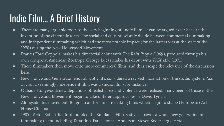#### Indie Film… A Brief History

- There are many arguable roots to the very beginning of 'Indie Film', it can be argued as far back as the invention of the cinematic form. The social and cultural seismic divide between commercial filmmaking and independent filmmaking which had the most notable impact (for the latter) was at the start of the 1970s during the New Hollywood Movement.
- Francis Ford Coppola, makes his directorial debut with *The Rain People* (1969), produced through his own company, American Zoetrope. George Lucas makes his debut with THX 1138 (1971)
- These filmmakers then move onto more commercial films, and thus escape the relevance of the discussion here.
- New Hollywood Generation ends abruptly, it's considered a revived incarnation of the studio system. Taxi Driver, a seemingly independent film, was a studio film - for instance.
- Outside Hollywood; new depictions of realistic sex and violence were realised, many peers of those in the New Hollywood Movement began to take different approaches i.e David Lynch..
- Alongside this movement, Bergman and Fellini are making films which begin to shape (European) Art House Cinema.
- 1985 Actor Robert Redford founded the Sundance Film Festival, spawns a whole new generation of filmmaking talent including Tarantino, Paul Thomas Anderson, Steven Soderberg etc etc...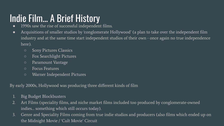### Indie Film… A Brief History

- 1990s saw the rise of successful independent films.
- Acquisitions of smaller studios by 'conglomerate Hollywood' (a plan to take over the independent film industry and at the same time start independent studios of their own - once again no true independence here).
	- Sony Pictures Classics
	- Fox Searchlight Pictures
	- Paramount Vantage
	- Focus Features
	- Warner Independent Pictures

By early 2000s, Hollywood was producing three different kinds of film

- 1. Big Budget Blockbusters
- 2. Art Films (speciality films, and niche market films included too produced by conglomerate-owned indies… something which still occurs today).
- 3. Genre and Speciality Films coming from true indie studios and producers (also films which ended up on the Midnight Movie / 'Cult Movie' Circuit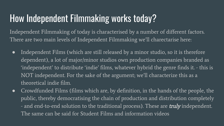#### How Independent Filmmaking works today?

Independent Filmmaking of today is characterised by a number of different factors. There are two main levels of Independent Filmmaking we'll charectarise here:

- Independent Films (which are still released by a minor studio, so it is therefore dependent), a lot of major/minor studios own production companies branded as 'independent' to distribute 'indie' films, whatever hybrid the genre finds it. - this is NOT independent. For the sake of the argument; we'll characterize this as a theoretical indie film.
- Crowdfunded Films (films which are, by definition, in the hands of the people, the public, thereby democratising the chain of production and distribution completely - and end-to-end solution to the traditional process). These are *truly* independent. The same can be said for Student Films and information videos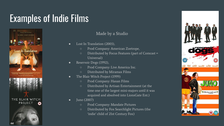### Examples of Indie Films



#### Made by a Studio

- Lost In Translation (2003),
	- Prod Company: American Zoetrope,
	- Distributed by Focus Features (part of Comcast = Universal)
- Reservoir Dogs (1992),
	- Prod Company: Live America Inc.
	- Distributed by Miramax Films
- The Blair Witch Project (1999)
	- Prod Company: Haxan Films
	- Distributed by Artisan Entertainment (at the time one of the largest mini-majors until it was acquired and absolved into LionsGate Ent.)
- Juno (2007)
	- Prod Company: Mandate Pictures
	- Distributed by Fox Searchlight Pictures (the 'indie' child of 21st Century Fox)

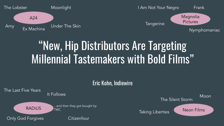

# "New, Hip Distributors Are Targeting Millennial Tastemakers with Bold Films"

#### Eric Kohn, Indiewire

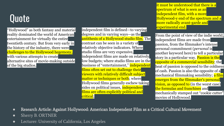### Quote

"Hollywood" as both fantasy and material reality dominated the world of American entertainment for virtually the entire twentieth century. But from very early in the history of the industry, there were challenges to the Hollywood hegemony, with various attempts to create alternative sites of movie-making outside of the big studios.

independent film is defined—to varying degrees and in varying ways—as the antithesis of a Hollywood studio film. The contrast can be seen in a variety of relatively objective indicators. Where studio films are very expensive, independent films are made on relatively low budgets; where studio films are in the business of "entertainment," independent films often set out to challenge their viewers with relatively difficult subject matter or techniques or both; where Hollywood films generally eschew taking sides on political issues, **independent** films are often explicitly political and critical;

it must be understood that there is a spectrum of what is seen as an independent film, with a more Hollywood-y end of the spectrum and a more radically avant-garde and experimental end.

From the point of view of the indie world, independent films are made from passion, from the filmmaker's intense personal commitment (*personal* is another keyword here) to tell a particular story in a particular way. **Passion is the** opposite of a commercial sensibility; the heat of passion is opposed to the coldness of cash. Passion is also the opposite of a mechanical filmmaking sensibility; a film emerges from the filmmaker's personal vision, as opposed to (in the worst case) the formulas and franchises and mechanically stamped out "cookie cutter" movies of Hollywood.

- **●** Research Article: Against Hollywood: American Independent Film as a Critical Cultural Movement
- Sherry B. ORTNER
- Lecturer: University of California, Los Angeles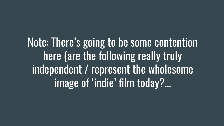Note: There's going to be some contention here (are the following really truly independent / represent the wholesome image of 'indie' film today?...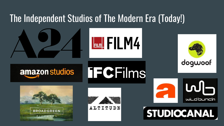#### The Independent Studios of The Modern Era (Today!)











dogwoof

 $\mathbf{L}$ 

wild bunch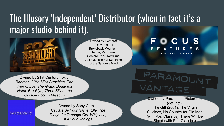#### The Illusory 'Independent' Distributor (when in fact it's a major studio behind it).



Owned by Comcast (Universal…) Brokeback Mountain, Hanna, Mr. Turner, Gosford Park, Nocturnal Animals, Eternal Sunshine of the Spotless Mind

#### OCUS A COMCAST COMPANY

Owned by 21st Century Fox… *Birdman, Little Miss Sunshine, The Tree of Life, The Grand Budapest Hotel, Brooklyn, Three Billboards Outside Ebbing Missouri*

ARAMO VANTAGE Owned by Paramount Pictures…

(defunct). The Gift (2001), The Virgin Suicides, No Country for Old Men (with Par. Classics), There Will Be Blood (with Par. Classics)

SONY PICTURES CLASSICS

Owned by Sony Corp… *Call Me By Your Name, Elle, The Diary of a Teenage Girl, Whiplash, Kill Your Darlings*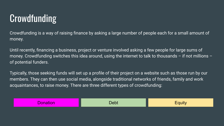#### **Crowdfunding**

Crowdfunding is a way of raising finance by asking a large number of people each for a small amount of money.

Until recently, financing a business, project or venture involved asking a few people for large sums of money. Crowdfunding switches this idea around, using the internet to talk to thousands – if not millions – of potential funders.

Typically, those seeking funds will set up a profile of their project on a website such as those run by our members. They can then use social media, alongside traditional networks of friends, family and work acquaintances, to raise money. There are three different types of crowdfunding:

|--|--|--|--|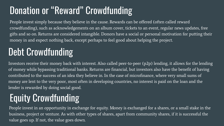#### Donation or "Reward" Crowdfunding

People invest simply because they believe in the cause. Rewards can be offered (often called reward crowdfunding), such as acknowledgements on an album cover, tickets to an event, regular news updates, free gifts and so on. Returns are considered intangible. Donors have a social or personal motivation for putting their money in and expect nothing back, except perhaps to feel good about helping the project.

#### Debt Crowdfunding

Investors receive their money back with interest. Also called peer-to-peer (p2p) lending, it allows for the lending of money while bypassing traditional banks. Returns are financial, but investors also have the benefit of having contributed to the success of an idea they believe in. In the case of microfinance, where very small sums of money are lent to the very poor, most often in developing countries, no interest is paid on the loan and the lender is rewarded by doing social good.

## Equity Crowdfunding

People invest in an opportunity in exchange for equity. Money is exchanged for a shares, or a small stake in the business, project or venture. As with other types of shares, apart from community shares, if it is successful the value goes up. If not, the value goes down.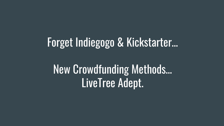# Forget Indiegogo & Kickstarter…

# New Crowdfunding Methods… LiveTree Adept.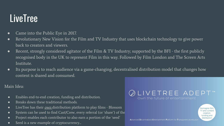#### **LiveTree**

- Came into the Public Eye in 2017.
- Revolutionary New Vision for the Film and TV Industry that uses blockchain technology to give power back to creators and viewers.
- Recent, strongly considered agitator of the Film & TV Industry; supported by the BFI the first publicly recognised body in the UK to represent Film in this way. Followed by Film London and The Screen Arts Institute.
- Its purpose is to reach audience via a game-changing, decentralised distribution model that changes how content is shared and consumed.

#### Main Idea:

- Enables end-to-end creation, funding and distribution.
- Breaks down these traditional methods.
- LiveTree has their *own* distribution platform to play films Blossom
- System can be used to find Cast/Crew, every referral (or 'share') of the
- Project enables each contributor to also earn a portion of the 'seed'
- Seed is a new example of cryptocurrency...

#### LIVETREE ADEPT<sup>\*</sup> Own the future of entertainment



Advanced Decentralized Entertainment Platform for Transparent distribution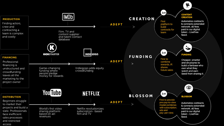

access